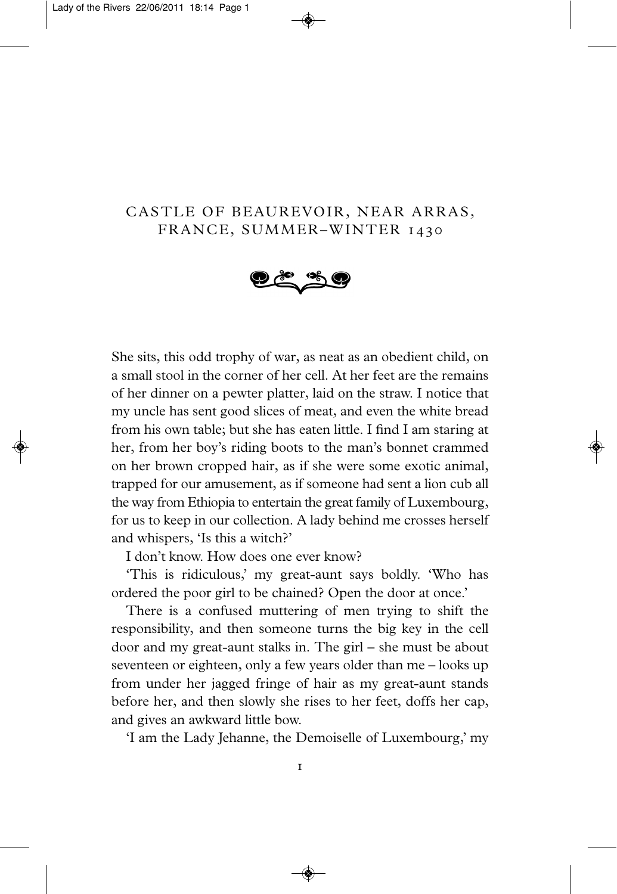## CASTLE OF BEAUREVOIR, NEAR ARRAS, FRANCE, SUMMER–WINTER



She sits, this odd trophy of war, as neat as an obedient child, on a small stool in the corner of her cell. At her feet are the remains of her dinner on a pewter platter, laid on the straw. I notice that my uncle has sent good slices of meat, and even the white bread from his own table; but she has eaten little. I find I am staring at her, from her boy's riding boots to the man's bonnet crammed on her brown cropped hair, as if she were some exotic animal, trapped for our amusement, as if someone had sent a lion cub all the way from Ethiopia to entertain the great family of Luxembourg, for us to keep in our collection. A lady behind me crosses herself and whispers, 'Is this a witch?'

I don't know. How does one ever know?

'This is ridiculous,' my great-aunt says boldly. 'Who has ordered the poor girl to be chained? Open the door at once.'

There is a confused muttering of men trying to shift the responsibility, and then someone turns the big key in the cell door and my great-aunt stalks in. The girl – she must be about seventeen or eighteen, only a few years older than me – looks up from under her jagged fringe of hair as my great-aunt stands before her, and then slowly she rises to her feet, doffs her cap, and gives an awkward little bow.

'I am the Lady Jehanne, the Demoiselle of Luxembourg,' my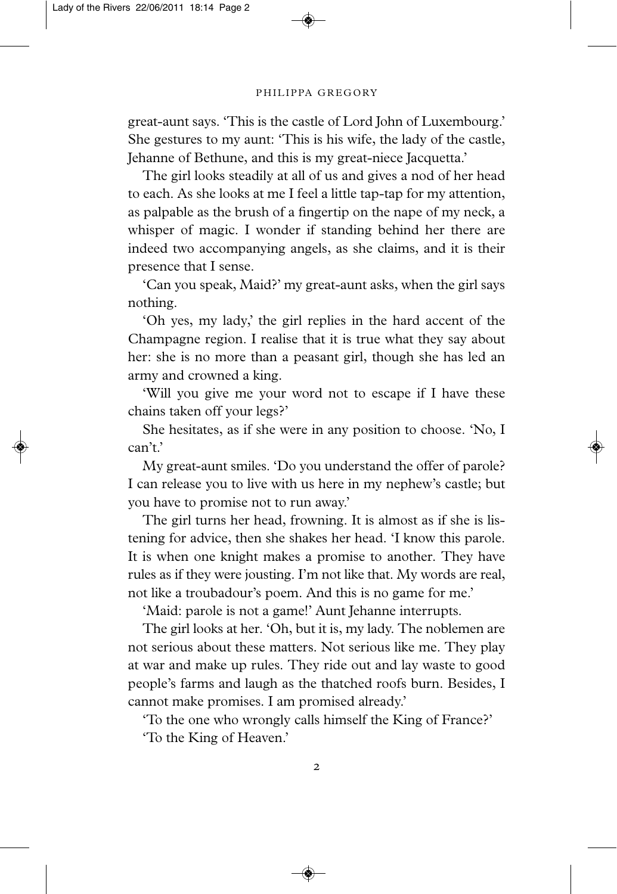great-aunt says. 'This is the castle of Lord John of Luxembourg.' She gestures to my aunt: 'This is his wife, the lady of the castle, Jehanne of Bethune, and this is my great-niece Jacquetta.'

The girl looks steadily at all of us and gives a nod of her head to each. As she looks at me I feel a little tap-tap for my attention, as palpable as the brush of a fingertip on the nape of my neck, a whisper of magic. I wonder if standing behind her there are indeed two accompanying angels, as she claims, and it is their presence that I sense.

'Can you speak, Maid?' my great-aunt asks, when the girl says nothing.

'Oh yes, my lady,' the girl replies in the hard accent of the Champagne region. I realise that it is true what they say about her: she is no more than a peasant girl, though she has led an army and crowned a king.

'Will you give me your word not to escape if I have these chains taken off your legs?'

She hesitates, as if she were in any position to choose. 'No, I can't.'

My great-aunt smiles. 'Do you understand the offer of parole? I can release you to live with us here in my nephew's castle; but you have to promise not to run away.'

The girl turns her head, frowning. It is almost as if she is listening for advice, then she shakes her head. 'I know this parole. It is when one knight makes a promise to another. They have rules as if they were jousting. I'm not like that. My words are real, not like a troubadour's poem. And this is no game for me.'

'Maid: parole is not a game!' Aunt Jehanne interrupts.

The girl looks at her. 'Oh, but it is, my lady. The noblemen are not serious about these matters. Not serious like me. They play at war and make up rules. They ride out and lay waste to good people's farms and laugh as the thatched roofs burn. Besides, I cannot make promises. I am promised already.'

'To the one who wrongly calls himself the King of France?' 'To the King of Heaven.'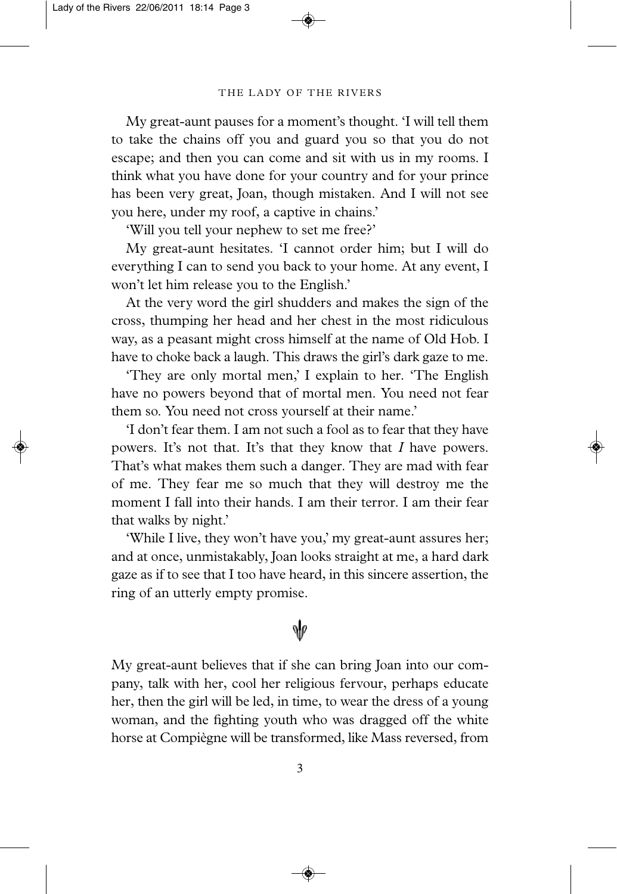My great-aunt pauses for a moment's thought. 'I will tell them to take the chains off you and guard you so that you do not escape; and then you can come and sit with us in my rooms. I think what you have done for your country and for your prince has been very great, Joan, though mistaken. And I will not see you here, under my roof, a captive in chains.'

'Will you tell your nephew to set me free?'

My great-aunt hesitates. 'I cannot order him; but I will do everything I can to send you back to your home. At any event, I won't let him release you to the English.'

At the very word the girl shudders and makes the sign of the cross, thumping her head and her chest in the most ridiculous way, as a peasant might cross himself at the name of Old Hob. I have to choke back a laugh. This draws the girl's dark gaze to me.

'They are only mortal men,' I explain to her. 'The English have no powers beyond that of mortal men. You need not fear them so. You need not cross yourself at their name.'

'I don't fear them. I am not such a fool as to fear that they have powers. It's not that. It's that they know that *I* have powers. That's what makes them such a danger. They are mad with fear of me. They fear me so much that they will destroy me the moment I fall into their hands. I am their terror. I am their fear that walks by night.'

'While I live, they won't have you,' my great-aunt assures her; and at once, unmistakably, Joan looks straight at me, a hard dark gaze as if to see that I too have heard, in this sincere assertion, the ring of an utterly empty promise.

# $\mathcal{N}$

My great-aunt believes that if she can bring Joan into our company, talk with her, cool her religious fervour, perhaps educate her, then the girl will be led, in time, to wear the dress of a young woman, and the fighting youth who was dragged off the white horse at Compiègne will be transformed, like Mass reversed, from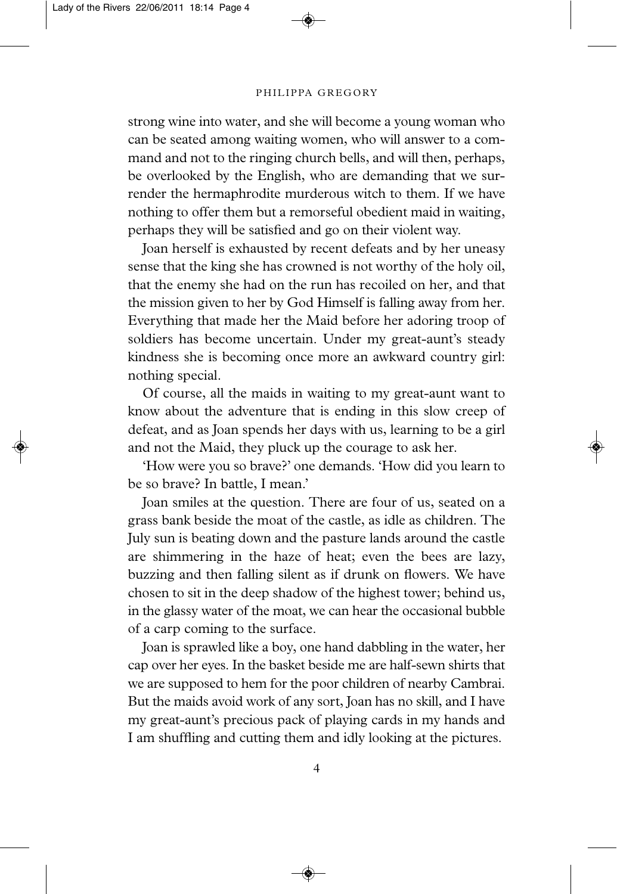strong wine into water, and she will become a young woman who can be seated among waiting women, who will answer to a command and not to the ringing church bells, and will then, perhaps, be overlooked by the English, who are demanding that we surrender the hermaphrodite murderous witch to them. If we have nothing to offer them but a remorseful obedient maid in waiting, perhaps they will be satisfied and go on their violent way.

Joan herself is exhausted by recent defeats and by her uneasy sense that the king she has crowned is not worthy of the holy oil, that the enemy she had on the run has recoiled on her, and that the mission given to her by God Himself is falling away from her. Everything that made her the Maid before her adoring troop of soldiers has become uncertain. Under my great-aunt's steady kindness she is becoming once more an awkward country girl: nothing special.

Of course, all the maids in waiting to my great-aunt want to know about the adventure that is ending in this slow creep of defeat, and as Joan spends her days with us, learning to be a girl and not the Maid, they pluck up the courage to ask her.

'How were you so brave?' one demands. 'How did you learn to be so brave? In battle, I mean.'

Joan smiles at the question. There are four of us, seated on a grass bank beside the moat of the castle, as idle as children. The July sun is beating down and the pasture lands around the castle are shimmering in the haze of heat; even the bees are lazy, buzzing and then falling silent as if drunk on flowers. We have chosen to sit in the deep shadow of the highest tower; behind us, in the glassy water of the moat, we can hear the occasional bubble of a carp coming to the surface.

Joan is sprawled like a boy, one hand dabbling in the water, her cap over her eyes. In the basket beside me are half-sewn shirts that we are supposed to hem for the poor children of nearby Cambrai. But the maids avoid work of any sort, Joan has no skill, and I have my great-aunt's precious pack of playing cards in my hands and I am shuffling and cutting them and idly looking at the pictures.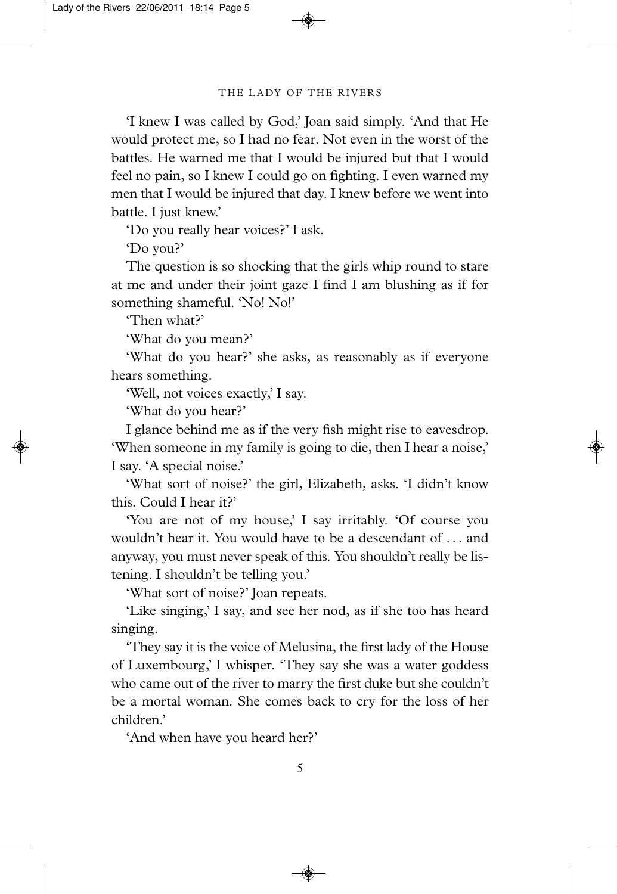'I knew I was called by God,' Joan said simply. 'And that He would protect me, so I had no fear. Not even in the worst of the battles. He warned me that I would be injured but that I would feel no pain, so I knew I could go on fighting. I even warned my men that I would be injured that day. I knew before we went into battle. I just knew.'

'Do you really hear voices?' I ask.

'Do you?'

The question is so shocking that the girls whip round to stare at me and under their joint gaze I find I am blushing as if for something shameful. 'No! No!'

'Then what?'

'What do you mean?'

'What do you hear?' she asks, as reasonably as if everyone hears something.

'Well, not voices exactly,' I say.

'What do you hear?'

I glance behind me as if the very fish might rise to eavesdrop. 'When someone in my family is going to die, then I hear a noise,' I say. 'A special noise.'

'What sort of noise?' the girl, Elizabeth, asks. 'I didn't know this. Could I hear it?'

'You are not of my house,' I say irritably. 'Of course you wouldn't hear it. You would have to be a descendant of . . . and anyway, you must never speak of this. You shouldn't really be listening. I shouldn't be telling you.'

'What sort of noise?' Joan repeats.

'Like singing,' I say, and see her nod, as if she too has heard singing.

'They say it is the voice of Melusina, the first lady of the House of Luxembourg,' I whisper. 'They say she was a water goddess who came out of the river to marry the first duke but she couldn't be a mortal woman. She comes back to cry for the loss of her children.'

'And when have you heard her?'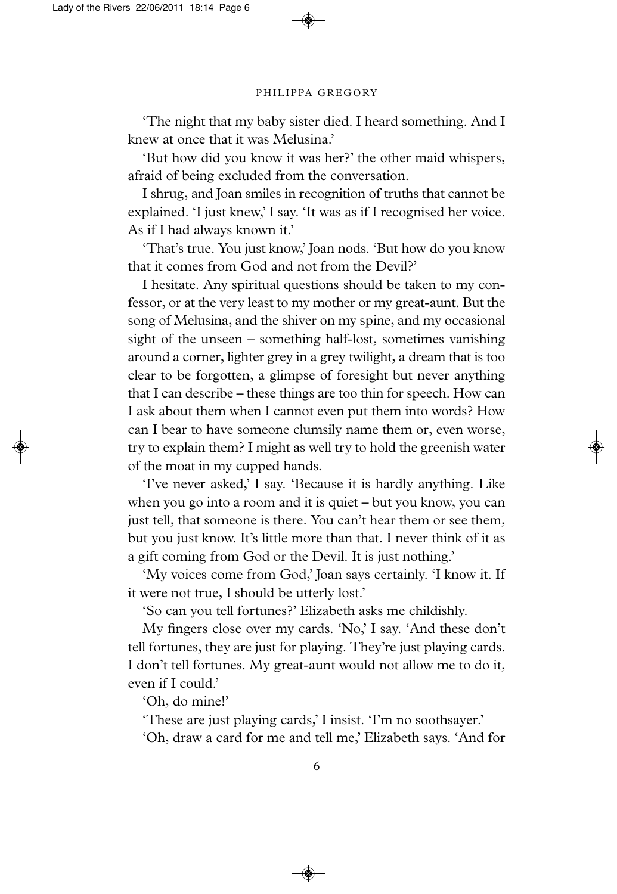'The night that my baby sister died. I heard something. And I knew at once that it was Melusina.'

'But how did you know it was her?' the other maid whispers, afraid of being excluded from the conversation.

I shrug, and Joan smiles in recognition of truths that cannot be explained. 'I just knew,' I say. 'It was as if I recognised her voice. As if I had always known it.'

'That's true. You just know,' Joan nods. 'But how do you know that it comes from God and not from the Devil?'

I hesitate. Any spiritual questions should be taken to my confessor, or at the very least to my mother or my great-aunt. But the song of Melusina, and the shiver on my spine, and my occasional sight of the unseen – something half-lost, sometimes vanishing around a corner, lighter grey in a grey twilight, a dream that is too clear to be forgotten, a glimpse of foresight but never anything that I can describe – these things are too thin for speech. How can I ask about them when I cannot even put them into words? How can I bear to have someone clumsily name them or, even worse, try to explain them? I might as well try to hold the greenish water of the moat in my cupped hands.

'I've never asked,' I say. 'Because it is hardly anything. Like when you go into a room and it is quiet – but you know, you can just tell, that someone is there. You can't hear them or see them, but you just know. It's little more than that. I never think of it as a gift coming from God or the Devil. It is just nothing.'

'My voices come from God,' Joan says certainly. 'I know it. If it were not true, I should be utterly lost.'

'So can you tell fortunes?' Elizabeth asks me childishly.

My fingers close over my cards. 'No,' I say. 'And these don't tell fortunes, they are just for playing. They're just playing cards. I don't tell fortunes. My great-aunt would not allow me to do it, even if I could.'

'Oh, do mine!'

'These are just playing cards,' I insist. 'I'm no soothsayer.'

'Oh, draw a card for me and tell me,' Elizabeth says. 'And for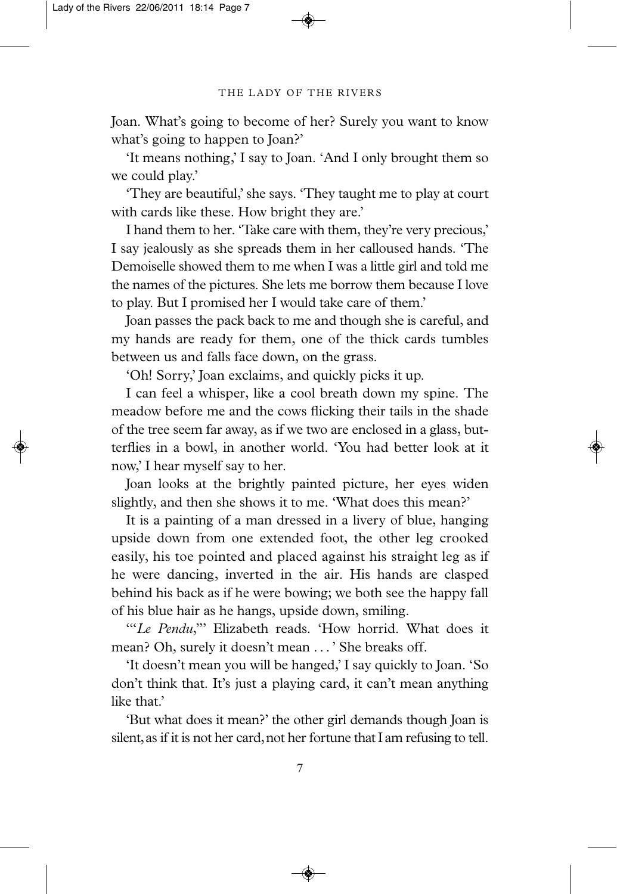Joan. What's going to become of her? Surely you want to know what's going to happen to Joan?'

'It means nothing,' I say to Joan. 'And I only brought them so we could play.'

'They are beautiful,' she says. 'They taught me to play at court with cards like these. How bright they are.'

I hand them to her. 'Take care with them, they're very precious,' I say jealously as she spreads them in her calloused hands. 'The Demoiselle showed them to me when I was a little girl and told me the names of the pictures. She lets me borrow them because I love to play. But I promised her I would take care of them.'

Joan passes the pack back to me and though she is careful, and my hands are ready for them, one of the thick cards tumbles between us and falls face down, on the grass.

'Oh! Sorry,' Joan exclaims, and quickly picks it up.

I can feel a whisper, like a cool breath down my spine. The meadow before me and the cows flicking their tails in the shade of the tree seem far away, as if we two are enclosed in a glass, butterflies in a bowl, in another world. 'You had better look at it now,' I hear myself say to her.

Joan looks at the brightly painted picture, her eyes widen slightly, and then she shows it to me. 'What does this mean?'

It is a painting of a man dressed in a livery of blue, hanging upside down from one extended foot, the other leg crooked easily, his toe pointed and placed against his straight leg as if he were dancing, inverted in the air. His hands are clasped behind his back as if he were bowing; we both see the happy fall of his blue hair as he hangs, upside down, smiling.

'"*Le Pendu*,"' Elizabeth reads. 'How horrid. What does it mean? Oh, surely it doesn't mean . . . ' She breaks off.

'It doesn't mean you will be hanged,' I say quickly to Joan. 'So don't think that. It's just a playing card, it can't mean anything like that.'

'But what does it mean?' the other girl demands though Joan is silent, as if it is not her card, not her fortune that I am refusing to tell.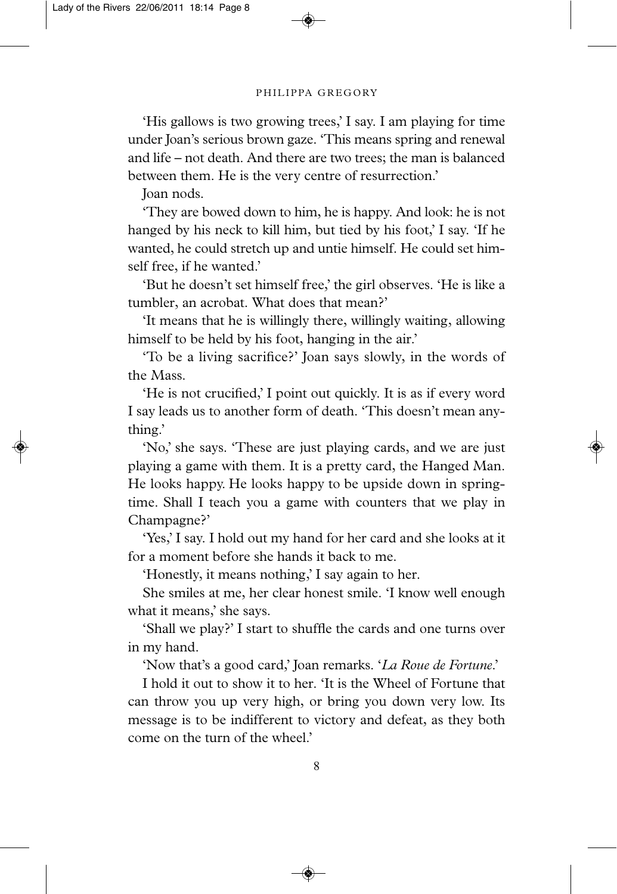'His gallows is two growing trees,' I say. I am playing for time under Joan's serious brown gaze. 'This means spring and renewal and life – not death. And there are two trees; the man is balanced between them. He is the very centre of resurrection.'

Joan nods.

'They are bowed down to him, he is happy. And look: he is not hanged by his neck to kill him, but tied by his foot,' I say. 'If he wanted, he could stretch up and untie himself. He could set himself free, if he wanted.'

'But he doesn't set himself free,' the girl observes. 'He is like a tumbler, an acrobat. What does that mean?'

'It means that he is willingly there, willingly waiting, allowing himself to be held by his foot, hanging in the air.'

'To be a living sacrifice?' Joan says slowly, in the words of the Mass.

'He is not crucified,' I point out quickly. It is as if every word I say leads us to another form of death. 'This doesn't mean anything.'

'No,' she says. 'These are just playing cards, and we are just playing a game with them. It is a pretty card, the Hanged Man. He looks happy. He looks happy to be upside down in springtime. Shall I teach you a game with counters that we play in Champagne?'

'Yes,' I say. I hold out my hand for her card and she looks at it for a moment before she hands it back to me.

'Honestly, it means nothing,' I say again to her.

She smiles at me, her clear honest smile. 'I know well enough what it means,' she says.

'Shall we play?' I start to shuffle the cards and one turns over in my hand.

'Now that's a good card,' Joan remarks. '*La Roue de Fortune*.'

I hold it out to show it to her. 'It is the Wheel of Fortune that can throw you up very high, or bring you down very low. Its message is to be indifferent to victory and defeat, as they both come on the turn of the wheel.'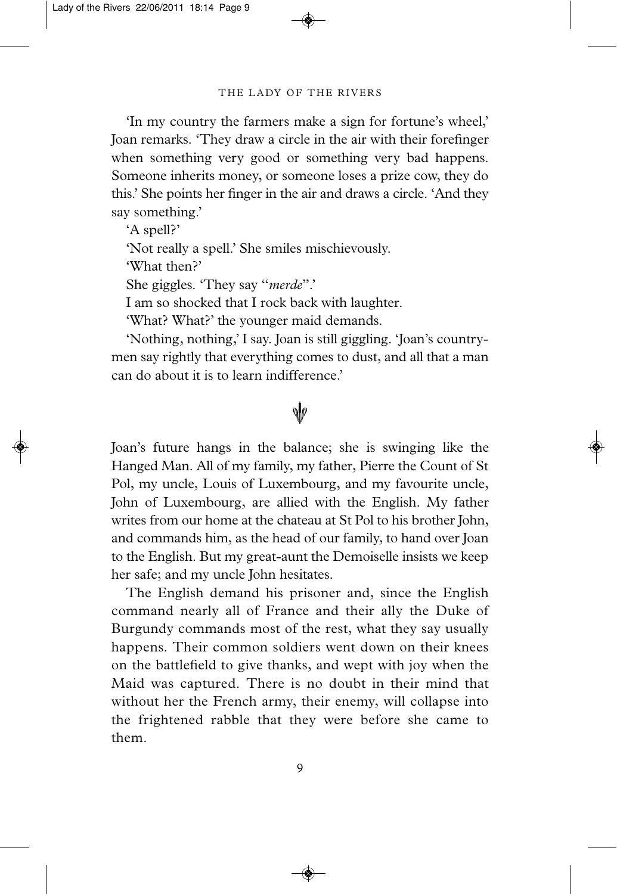'In my country the farmers make a sign for fortune's wheel,' Joan remarks. 'They draw a circle in the air with their forefinger when something very good or something very bad happens. Someone inherits money, or someone loses a prize cow, they do this.' She points her finger in the air and draws a circle. 'And they say something.'

'A spell?'

'Not really a spell.' She smiles mischievously.

'What then?'

She giggles. 'They say "*merde*".'

I am so shocked that I rock back with laughter.

'What? What?' the younger maid demands.

'Nothing, nothing,' I say. Joan is still giggling. 'Joan's countrymen say rightly that everything comes to dust, and all that a man can do about it is to learn indifference.'

# $\mathcal{N}$

Joan's future hangs in the balance; she is swinging like the Hanged Man. All of my family, my father, Pierre the Count of St Pol, my uncle, Louis of Luxembourg, and my favourite uncle, John of Luxembourg, are allied with the English. My father writes from our home at the chateau at St Pol to his brother John, and commands him, as the head of our family, to hand over Joan to the English. But my great-aunt the Demoiselle insists we keep her safe; and my uncle John hesitates.

The English demand his prisoner and, since the English com mand nearly all of France and their ally the Duke of Burgundy commands most of the rest, what they say usually happens. Their common soldiers went down on their knees on the battlefield to give thanks, and wept with joy when the Maid was captured. There is no doubt in their mind that without her the French army, their enemy, will collapse into the frightened rabble that they were before she came to them.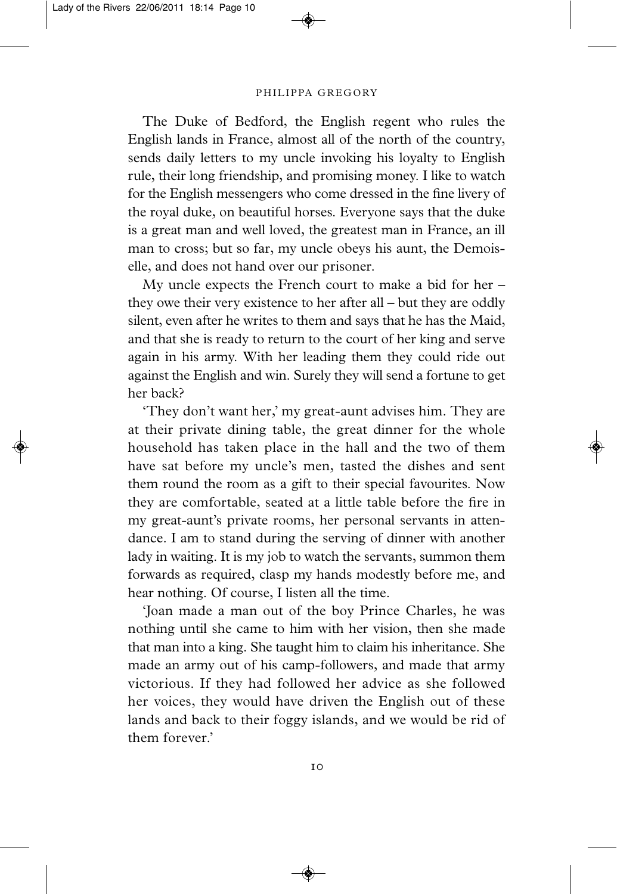The Duke of Bedford, the English regent who rules the English lands in France, almost all of the north of the country, sends daily letters to my uncle invoking his loyalty to English rule, their long friendship, and promising money. I like to watch for the English messengers who come dressed in the fine livery of the royal duke, on beautiful horses. Everyone says that the duke is a great man and well loved, the greatest man in France, an ill man to cross; but so far, my uncle obeys his aunt, the Demoiselle, and does not hand over our prisoner.

My uncle expects the French court to make a bid for her – they owe their very existence to her after all – but they are oddly silent, even after he writes to them and says that he has the Maid, and that she is ready to return to the court of her king and serve again in his army. With her leading them they could ride out against the English and win. Surely they will send a fortune to get her back?

'They don't want her,' my great-aunt advises him. They are at their private dining table, the great dinner for the whole household has taken place in the hall and the two of them have sat before my uncle's men, tasted the dishes and sent them round the room as a gift to their special favourites. Now they are comfortable, seated at a little table before the fire in my great-aunt's private rooms, her personal servants in attendance. I am to stand during the serving of dinner with another lady in waiting. It is my job to watch the servants, summon them forwards as required, clasp my hands modestly before me, and hear nothing. Of course, I listen all the time.

'Joan made a man out of the boy Prince Charles, he was nothing until she came to him with her vision, then she made that man into a king. She taught him to claim his inheritance. She made an army out of his camp-followers, and made that army victorious. If they had followed her advice as she followed her voices, they would have driven the English out of these lands and back to their foggy islands, and we would be rid of them forever.'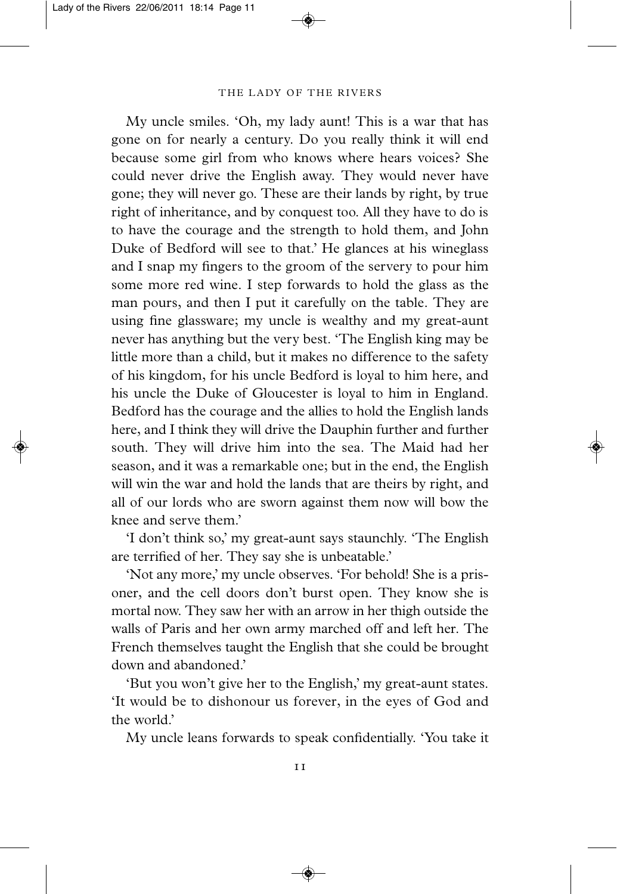My uncle smiles. 'Oh, my lady aunt! This is a war that has gone on for nearly a century. Do you really think it will end because some girl from who knows where hears voices? She could never drive the English away. They would never have gone; they will never go. These are their lands by right, by true right of inheritance, and by conquest too. All they have to do is to have the courage and the strength to hold them, and John Duke of Bedford will see to that.' He glances at his wineglass and I snap my fingers to the groom of the servery to pour him some more red wine. I step forwards to hold the glass as the man pours, and then I put it carefully on the table. They are using fine glassware; my uncle is wealthy and my great-aunt never has anything but the very best. 'The English king may be little more than a child, but it makes no difference to the safety of his kingdom, for his uncle Bedford is loyal to him here, and his uncle the Duke of Gloucester is loyal to him in England. Bedford has the courage and the allies to hold the English lands here, and I think they will drive the Dauphin further and further south. They will drive him into the sea. The Maid had her season, and it was a remarkable one; but in the end, the English will win the war and hold the lands that are theirs by right, and all of our lords who are sworn against them now will bow the knee and serve them.'

'I don't think so,' my great-aunt says staunchly. 'The English are terrified of her. They say she is unbeatable.'

'Not any more,' my uncle observes. 'For behold! She is a prisoner, and the cell doors don't burst open. They know she is mortal now. They saw her with an arrow in her thigh outside the walls of Paris and her own army marched off and left her. The French themselves taught the English that she could be brought down and abandoned.'

'But you won't give her to the English,' my great-aunt states. 'It would be to dishonour us forever, in the eyes of God and the world.'

My uncle leans forwards to speak confidentially. 'You take it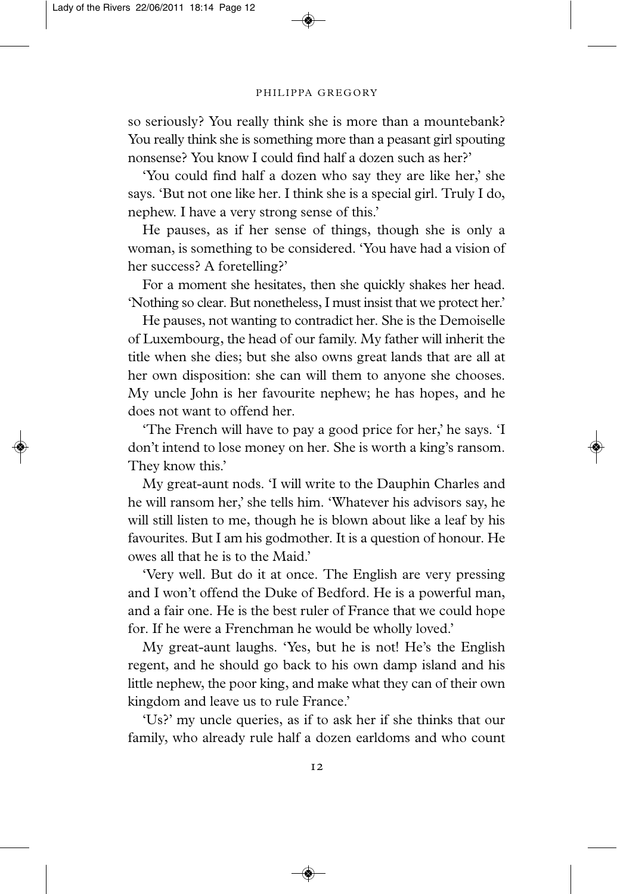so seriously? You really think she is more than a mountebank? You really think she is something more than a peasant girl spouting nonsense? You know I could find half a dozen such as her?'

'You could find half a dozen who say they are like her,' she says. 'But not one like her. I think she is a special girl. Truly I do, nephew. I have a very strong sense of this.'

He pauses, as if her sense of things, though she is only a woman, is something to be considered. 'You have had a vision of her success? A foretelling?'

For a moment she hesitates, then she quickly shakes her head. 'Nothing so clear. But nonetheless, I must insist that we protect her.'

He pauses, not wanting to contradict her. She is the Demoiselle of Luxembourg, the head of our family. My father will inherit the title when she dies; but she also owns great lands that are all at her own disposition: she can will them to anyone she chooses. My uncle John is her favourite nephew; he has hopes, and he does not want to offend her.

'The French will have to pay a good price for her,' he says. 'I don't intend to lose money on her. She is worth a king's ransom. They know this.'

My great-aunt nods. 'I will write to the Dauphin Charles and he will ransom her,' she tells him. 'Whatever his advisors say, he will still listen to me, though he is blown about like a leaf by his favourites. But I am his godmother. It is a question of honour. He owes all that he is to the Maid.'

'Very well. But do it at once. The English are very pressing and I won't offend the Duke of Bedford. He is a powerful man, and a fair one. He is the best ruler of France that we could hope for. If he were a Frenchman he would be wholly loved.'

My great-aunt laughs. 'Yes, but he is not! He's the English regent, and he should go back to his own damp island and his little nephew, the poor king, and make what they can of their own kingdom and leave us to rule France.'

'Us?' my uncle queries, as if to ask her if she thinks that our family, who already rule half a dozen earldoms and who count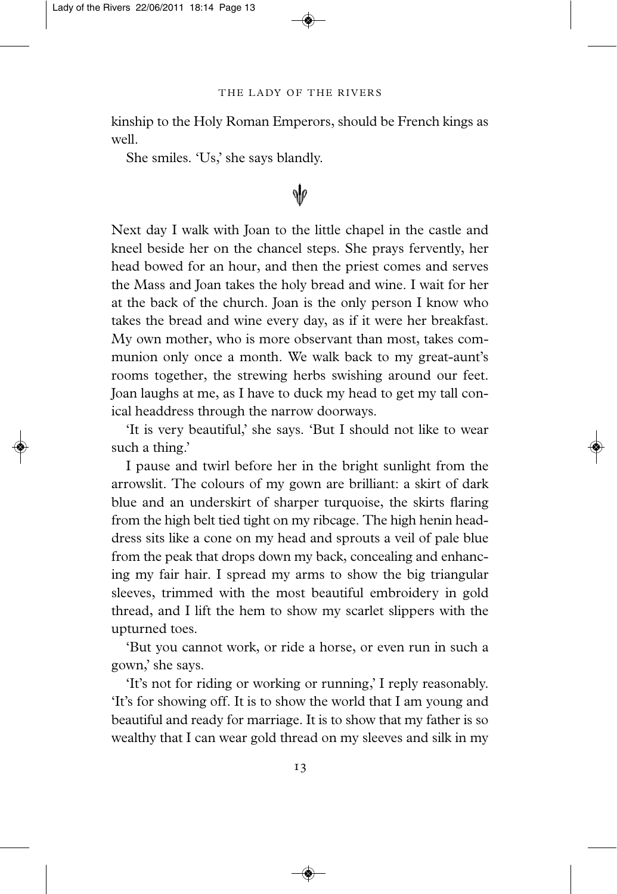kinship to the Holy Roman Emperors, should be French kings as well.

She smiles. 'Us,' she says blandly.

# $\mathcal{N}$

Next day I walk with Joan to the little chapel in the castle and kneel beside her on the chancel steps. She prays fervently, her head bowed for an hour, and then the priest comes and serves the Mass and Joan takes the holy bread and wine. I wait for her at the back of the church. Joan is the only person I know who takes the bread and wine every day, as if it were her breakfast. My own mother, who is more observant than most, takes communion only once a month. We walk back to my great-aunt's rooms together, the strewing herbs swishing around our feet. Joan laughs at me, as I have to duck my head to get my tall conical headdress through the narrow doorways.

'It is very beautiful,' she says. 'But I should not like to wear such a thing.'

I pause and twirl before her in the bright sunlight from the arrowslit. The colours of my gown are brilliant: a skirt of dark blue and an underskirt of sharper turquoise, the skirts flaring from the high belt tied tight on my ribcage. The high henin headdress sits like a cone on my head and sprouts a veil of pale blue from the peak that drops down my back, concealing and enhancing my fair hair. I spread my arms to show the big triangular sleeves, trimmed with the most beautiful embroidery in gold thread, and I lift the hem to show my scarlet slippers with the upturned toes.

'But you cannot work, or ride a horse, or even run in such a gown,' she says.

'It's not for riding or working or running,' I reply reasonably. 'It's for showing off. It is to show the world that I am young and beautiful and ready for marriage. It is to show that my father is so wealthy that I can wear gold thread on my sleeves and silk in my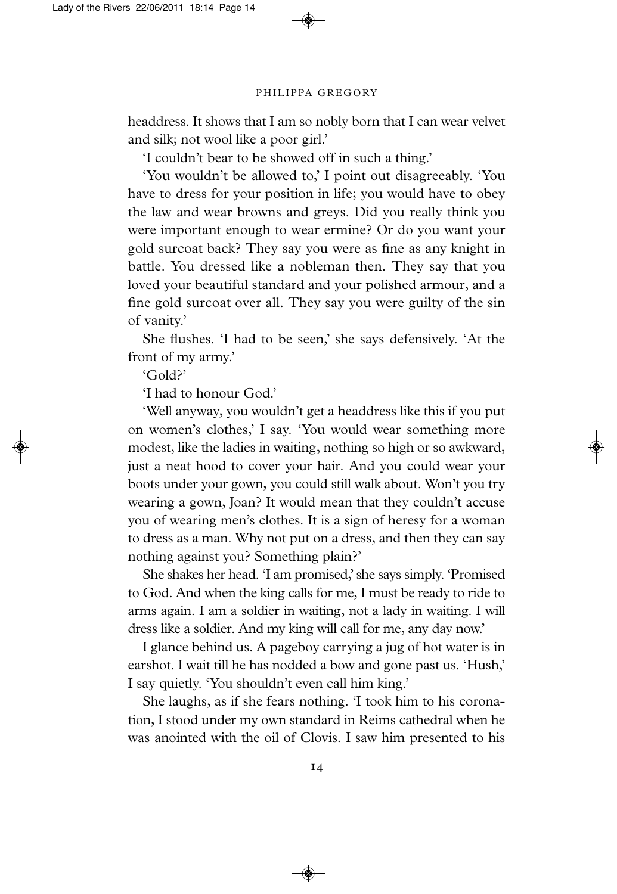headdress. It shows that I am so nobly born that I can wear velvet and silk; not wool like a poor girl.'

'I couldn't bear to be showed off in such a thing.'

'You wouldn't be allowed to,' I point out disagreeably. 'You have to dress for your position in life; you would have to obey the law and wear browns and greys. Did you really think you were important enough to wear ermine? Or do you want your gold surcoat back? They say you were as fine as any knight in battle. You dressed like a nobleman then. They say that you loved your beautiful standard and your polished armour, and a fine gold surcoat over all. They say you were guilty of the sin of vanity.'

She flushes. 'I had to be seen,' she says defensively. 'At the front of my army.'

'Gold?'

'I had to honour God.'

'Well anyway, you wouldn't get a headdress like this if you put on women's clothes,' I say. 'You would wear something more modest, like the ladies in waiting, nothing so high or so awkward, just a neat hood to cover your hair. And you could wear your boots under your gown, you could still walk about. Won't you try wearing a gown, Joan? It would mean that they couldn't accuse you of wearing men's clothes. It is a sign of heresy for a woman to dress as a man. Why not put on a dress, and then they can say nothing against you? Something plain?'

She shakes her head. 'I am promised,' she says simply. 'Promised to God. And when the king calls for me, I must be ready to ride to arms again. I am a soldier in waiting, not a lady in waiting. I will dress like a soldier. And my king will call for me, any day now.'

I glance behind us. A pageboy carrying a jug of hot water is in earshot. I wait till he has nodded a bow and gone past us. 'Hush,' I say quietly. 'You shouldn't even call him king.'

She laughs, as if she fears nothing. 'I took him to his coronation, I stood under my own standard in Reims cathedral when he was anointed with the oil of Clovis. I saw him presented to his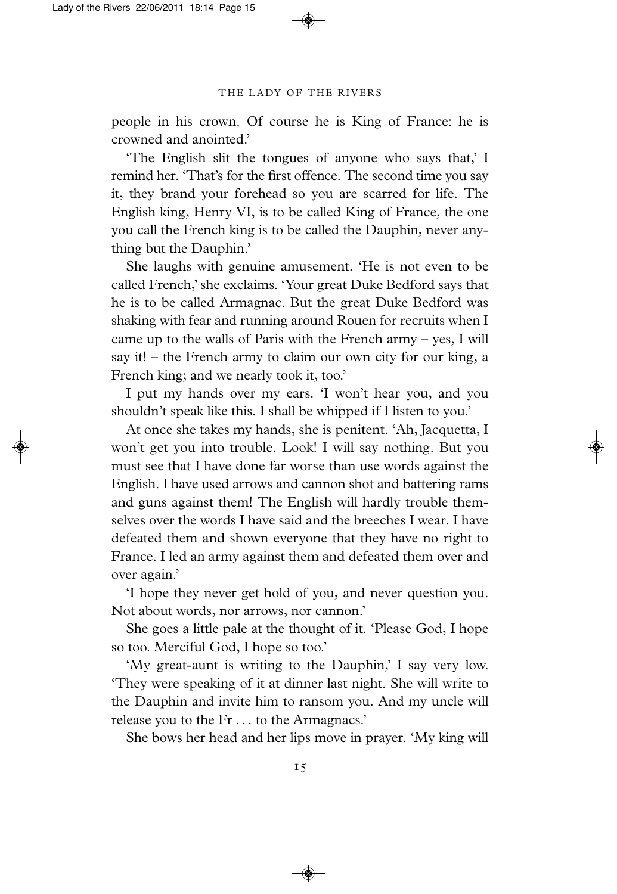people in his crown. Of course he is King of France: he is crowned and anointed.'

'The English slit the tongues of anyone who says that,' I remind her. 'That's for the first offence. The second time you say it, they brand your forehead so you are scarred for life. The English king, Henry VI, is to be called King of France, the one you call the French king is to be called the Dauphin, never anything but the Dauphin.'

She laughs with genuine amusement. 'He is not even to be called French,' she exclaims. 'Your great Duke Bedford says that he is to be called Armagnac. But the great Duke Bedford was shaking with fear and running around Rouen for recruits when I came up to the walls of Paris with the French army – yes, I will say it! – the French army to claim our own city for our king, a French king; and we nearly took it, too.'

I put my hands over my ears. 'I won't hear you, and you shouldn't speak like this. I shall be whipped if I listen to you.'

At once she takes my hands, she is penitent. 'Ah, Jacquetta, I won't get you into trouble. Look! I will say nothing. But you must see that I have done far worse than use words against the English. I have used arrows and cannon shot and battering rams and guns against them! The English will hardly trouble themselves over the words I have said and the breeches I wear. I have defeated them and shown everyone that they have no right to France. I led an army against them and defeated them over and over again.'

'I hope they never get hold of you, and never question you. Not about words, nor arrows, nor cannon.'

She goes a little pale at the thought of it. 'Please God, I hope so too. Merciful God, I hope so too.'

'My great-aunt is writing to the Dauphin,' I say very low. 'They were speaking of it at dinner last night. She will write to the Dauphin and invite him to ransom you. And my uncle will release you to the Fr . . . to the Armagnacs.'

She bows her head and her lips move in prayer. 'My king will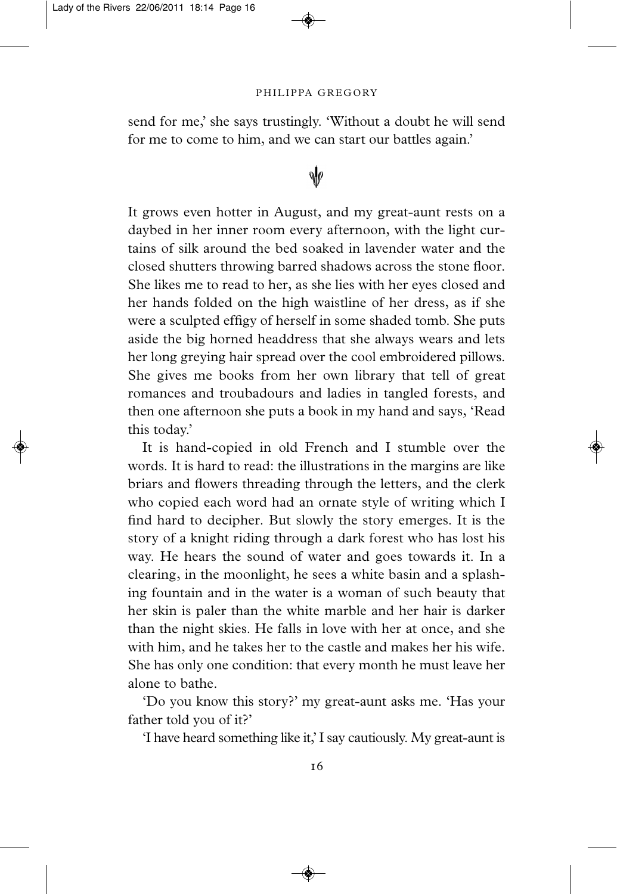send for me,' she says trustingly. 'Without a doubt he will send for me to come to him, and we can start our battles again.'

# $\mathcal{N}$

It grows even hotter in August, and my great-aunt rests on a daybed in her inner room every afternoon, with the light curtains of silk around the bed soaked in lavender water and the closed shutters throwing barred shadows across the stone floor. She likes me to read to her, as she lies with her eyes closed and her hands folded on the high waistline of her dress, as if she were a sculpted effigy of herself in some shaded tomb. She puts aside the big horned headdress that she always wears and lets her long greying hair spread over the cool embroidered pillows. She gives me books from her own library that tell of great romances and troubadours and ladies in tangled forests, and then one afternoon she puts a book in my hand and says, 'Read this today.'

It is hand-copied in old French and I stumble over the words. It is hard to read: the illustrations in the margins are like briars and flowers threading through the letters, and the clerk who copied each word had an ornate style of writing which I find hard to decipher. But slowly the story emerges. It is the story of a knight riding through a dark forest who has lost his way. He hears the sound of water and goes towards it. In a clearing, in the moonlight, he sees a white basin and a splashing fountain and in the water is a woman of such beauty that her skin is paler than the white marble and her hair is darker than the night skies. He falls in love with her at once, and she with him, and he takes her to the castle and makes her his wife. She has only one condition: that every month he must leave her alone to bathe.

'Do you know this story?' my great-aunt asks me. 'Has your father told you of it?'

'I have heard something like it,' I say cautiously. My great-aunt is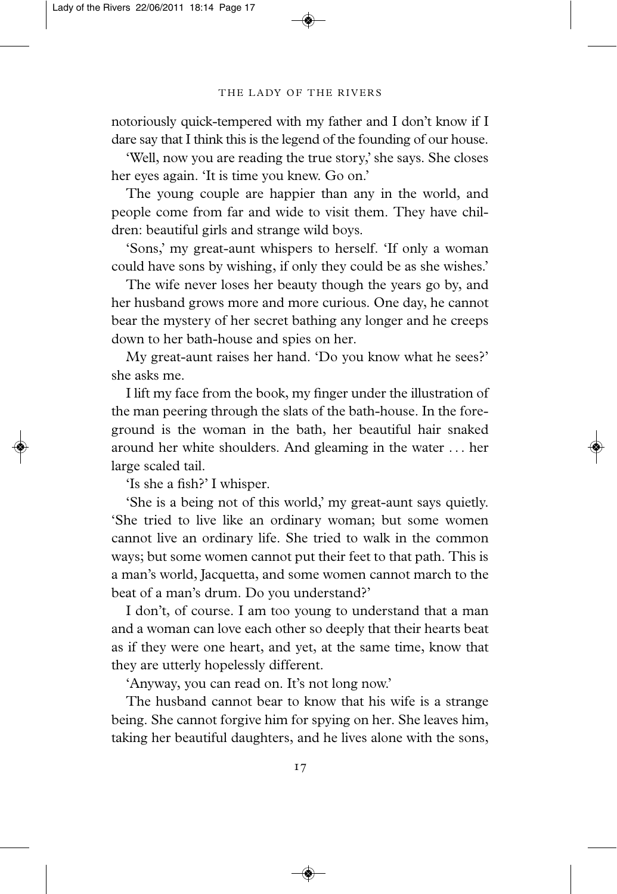notoriously quick-tempered with my father and I don't know if I dare say that I think this is the legend of the founding of our house.

'Well, now you are reading the true story,' she says. She closes her eyes again. 'It is time you knew. Go on.'

The young couple are happier than any in the world, and people come from far and wide to visit them. They have children: beautiful girls and strange wild boys.

'Sons,' my great-aunt whispers to herself. 'If only a woman could have sons by wishing, if only they could be as she wishes.'

The wife never loses her beauty though the years go by, and her husband grows more and more curious. One day, he cannot bear the mystery of her secret bathing any longer and he creeps down to her bath-house and spies on her.

My great-aunt raises her hand. 'Do you know what he sees?' she asks me.

I lift my face from the book, my finger under the illustration of the man peering through the slats of the bath-house. In the foreground is the woman in the bath, her beautiful hair snaked around her white shoulders. And gleaming in the water . . . her large scaled tail.

'Is she a fish?' I whisper.

'She is a being not of this world,' my great-aunt says quietly. 'She tried to live like an ordinary woman; but some women cannot live an ordinary life. She tried to walk in the common ways; but some women cannot put their feet to that path. This is a man's world, Jacquetta, and some women cannot march to the beat of a man's drum. Do you understand?'

I don't, of course. I am too young to understand that a man and a woman can love each other so deeply that their hearts beat as if they were one heart, and yet, at the same time, know that they are utterly hopelessly different.

'Anyway, you can read on. It's not long now.'

The husband cannot bear to know that his wife is a strange being. She cannot forgive him for spying on her. She leaves him, taking her beautiful daughters, and he lives alone with the sons,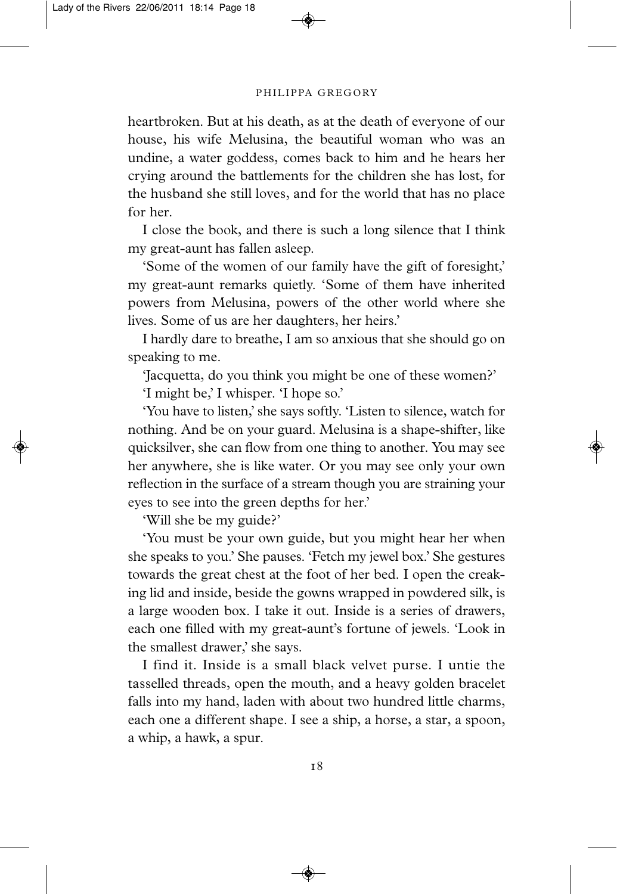heartbroken. But at his death, as at the death of everyone of our house, his wife Melusina, the beautiful woman who was an undine, a water goddess, comes back to him and he hears her crying around the battlements for the children she has lost, for the husband she still loves, and for the world that has no place for her.

I close the book, and there is such a long silence that I think my great-aunt has fallen asleep.

'Some of the women of our family have the gift of foresight,' my great-aunt remarks quietly. 'Some of them have inherited powers from Melusina, powers of the other world where she lives. Some of us are her daughters, her heirs.'

I hardly dare to breathe, I am so anxious that she should go on speaking to me.

'Jacquetta, do you think you might be one of these women?'

'I might be,' I whisper. 'I hope so.'

'You have to listen,' she says softly. 'Listen to silence, watch for nothing. And be on your guard. Melusina is a shape-shifter, like quicksilver, she can flow from one thing to another. You may see her anywhere, she is like water. Or you may see only your own reflection in the surface of a stream though you are straining your eyes to see into the green depths for her.'

'Will she be my guide?'

'You must be your own guide, but you might hear her when she speaks to you.' She pauses. 'Fetch my jewel box.' She gestures towards the great chest at the foot of her bed. I open the creaking lid and inside, beside the gowns wrapped in powdered silk, is a large wooden box. I take it out. Inside is a series of drawers, each one filled with my great-aunt's fortune of jewels. 'Look in the smallest drawer,' she says.

I find it. Inside is a small black velvet purse. I untie the tasselled threads, open the mouth, and a heavy golden bracelet falls into my hand, laden with about two hundred little charms, each one a different shape. I see a ship, a horse, a star, a spoon, a whip, a hawk, a spur.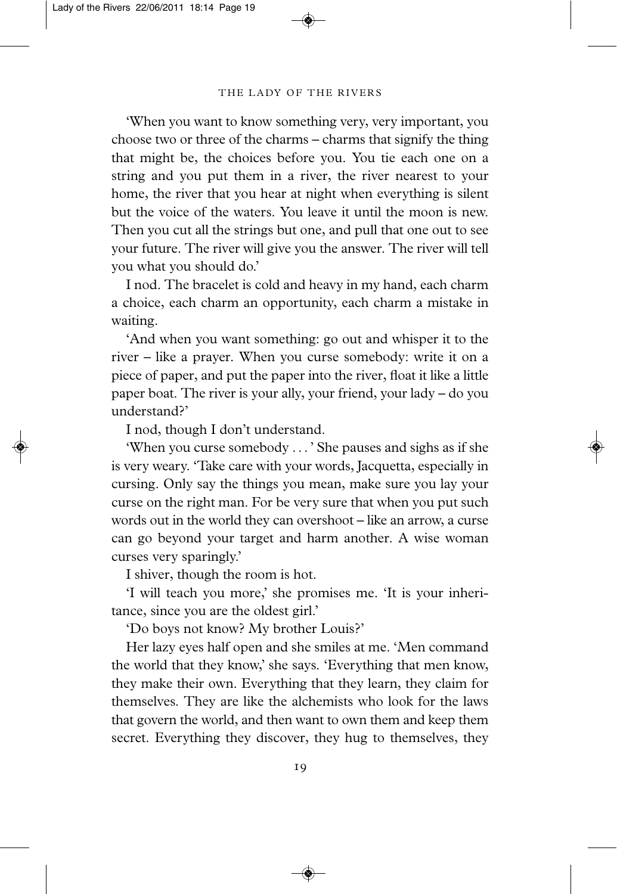'When you want to know something very, very important, you choose two or three of the charms – charms that signify the thing that might be, the choices before you. You tie each one on a string and you put them in a river, the river nearest to your home, the river that you hear at night when everything is silent but the voice of the waters. You leave it until the moon is new. Then you cut all the strings but one, and pull that one out to see your future. The river will give you the answer. The river will tell you what you should do.'

I nod. The bracelet is cold and heavy in my hand, each charm a choice, each charm an opportunity, each charm a mistake in waiting.

'And when you want something: go out and whisper it to the river – like a prayer. When you curse somebody: write it on a piece of paper, and put the paper into the river, float it like a little paper boat. The river is your ally, your friend, your lady – do you understand?'

I nod, though I don't understand.

'When you curse somebody . . . ' She pauses and sighs as if she is very weary. 'Take care with your words, Jacquetta, especially in cursing. Only say the things you mean, make sure you lay your curse on the right man. For be very sure that when you put such words out in the world they can overshoot – like an arrow, a curse can go beyond your target and harm another. A wise woman curses very sparingly.'

I shiver, though the room is hot.

'I will teach you more,' she promises me. 'It is your inheritance, since you are the oldest girl.'

'Do boys not know? My brother Louis?'

Her lazy eyes half open and she smiles at me. 'Men command the world that they know,' she says. 'Everything that men know, they make their own. Everything that they learn, they claim for themselves. They are like the alchemists who look for the laws that govern the world, and then want to own them and keep them secret. Everything they discover, they hug to themselves, they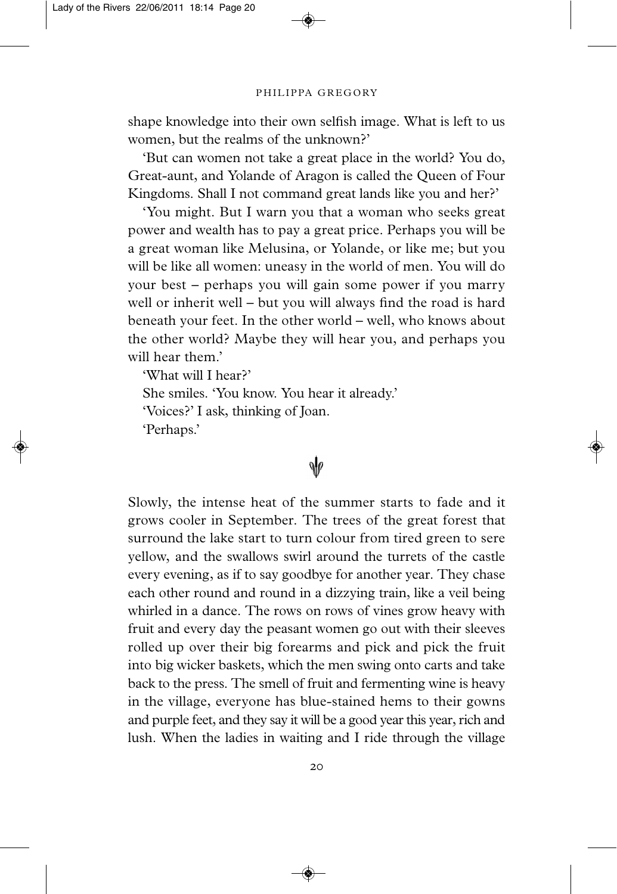shape knowledge into their own selfish image. What is left to us women, but the realms of the unknown?'

'But can women not take a great place in the world? You do, Great-aunt, and Yolande of Aragon is called the Queen of Four Kingdoms. Shall I not command great lands like you and her?'

'You might. But I warn you that a woman who seeks great power and wealth has to pay a great price. Perhaps you will be a great woman like Melusina, or Yolande, or like me; but you will be like all women: uneasy in the world of men. You will do your best – perhaps you will gain some power if you marry well or inherit well – but you will always find the road is hard beneath your feet. In the other world – well, who knows about the other world? Maybe they will hear you, and perhaps you will hear them<sup>?</sup>

'What will I hear?'

She smiles. 'You know. You hear it already.'

'Voices?' I ask, thinking of Joan.

'Perhaps.'

# $\mathcal{N}$

Slowly, the intense heat of the summer starts to fade and it grows cooler in September. The trees of the great forest that surround the lake start to turn colour from tired green to sere yellow, and the swallows swirl around the turrets of the castle every evening, as if to say goodbye for another year. They chase each other round and round in a dizzying train, like a veil being whirled in a dance. The rows on rows of vines grow heavy with fruit and every day the peasant women go out with their sleeves rolled up over their big forearms and pick and pick the fruit into big wicker baskets, which the men swing onto carts and take back to the press. The smell of fruit and fermenting wine is heavy in the village, everyone has blue-stained hems to their gowns and purple feet, and they say it will be a good year this year, rich and lush. When the ladies in waiting and I ride through the village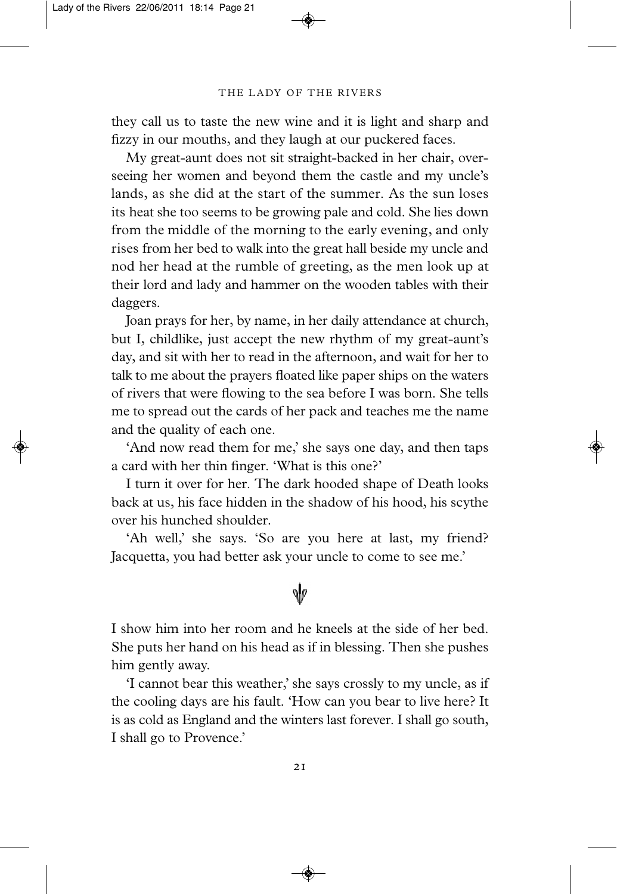they call us to taste the new wine and it is light and sharp and fizzy in our mouths, and they laugh at our puckered faces.

My great-aunt does not sit straight-backed in her chair, overseeing her women and beyond them the castle and my uncle's lands, as she did at the start of the summer. As the sun loses its heat she too seems to be growing pale and cold. She lies down from the middle of the morning to the early evening, and only rises from her bed to walk into the great hall beside my uncle and nod her head at the rumble of greeting, as the men look up at their lord and lady and hammer on the wooden tables with their daggers.

Joan prays for her, by name, in her daily attendance at church, but I, childlike, just accept the new rhythm of my great-aunt's day, and sit with her to read in the afternoon, and wait for her to talk to me about the prayers floated like paper ships on the waters of rivers that were flowing to the sea before I was born. She tells me to spread out the cards of her pack and teaches me the name and the quality of each one.

'And now read them for me,' she says one day, and then taps a card with her thin finger. 'What is this one?'

I turn it over for her. The dark hooded shape of Death looks back at us, his face hidden in the shadow of his hood, his scythe over his hunched shoulder.

'Ah well,' she says. 'So are you here at last, my friend? Jacquetta, you had better ask your uncle to come to see me.'

I show him into her room and he kneels at the side of her bed. She puts her hand on his head as if in blessing. Then she pushes him gently away.

'I cannot bear this weather,' she says crossly to my uncle, as if the cooling days are his fault. 'How can you bear to live here? It is as cold as England and the winters last forever. I shall go south, I shall go to Provence.'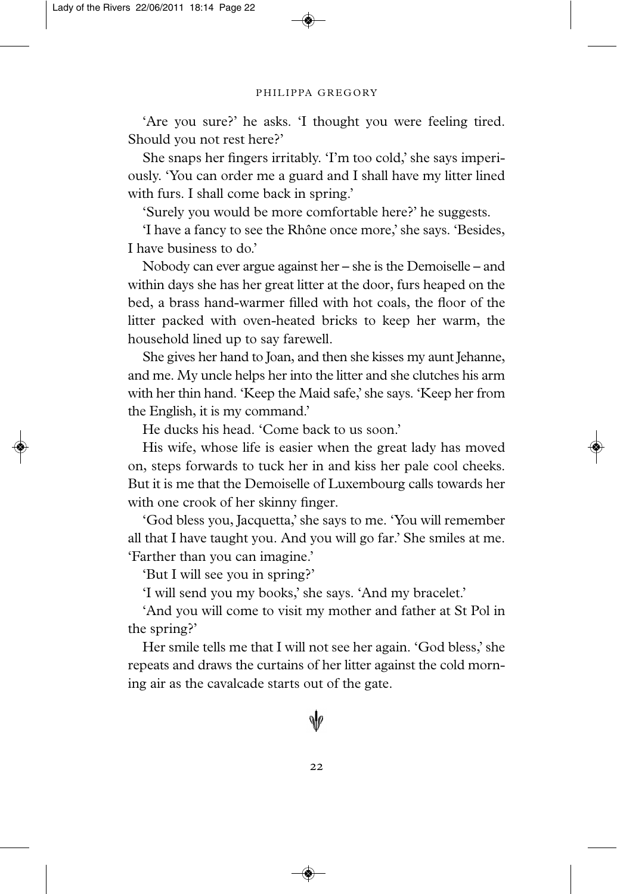'Are you sure?' he asks. 'I thought you were feeling tired. Should you not rest here?'

She snaps her fingers irritably. 'I'm too cold,' she says imperiously. 'You can order me a guard and I shall have my litter lined with furs. I shall come back in spring.'

'Surely you would be more comfortable here?' he suggests.

'I have a fancy to see the Rhône once more,' she says. 'Besides, I have business to do.'

Nobody can ever argue against her – she is the Demoiselle – and within days she has her great litter at the door, furs heaped on the bed, a brass hand-warmer filled with hot coals, the floor of the litter packed with oven-heated bricks to keep her warm, the household lined up to say farewell.

She gives her hand to Joan, and then she kisses my aunt Jehanne, and me. My uncle helps her into the litter and she clutches his arm with her thin hand. 'Keep the Maid safe,' she says. 'Keep her from the English, it is my command.'

He ducks his head. 'Come back to us soon.'

His wife, whose life is easier when the great lady has moved on, steps forwards to tuck her in and kiss her pale cool cheeks. But it is me that the Demoiselle of Luxembourg calls towards her with one crook of her skinny finger.

'God bless you, Jacquetta,' she says to me. 'You will remember all that I have taught you. And you will go far.' She smiles at me. 'Farther than you can imagine.'

'But I will see you in spring?'

'I will send you my books,' she says. 'And my bracelet.'

'And you will come to visit my mother and father at St Pol in the spring?'

Her smile tells me that I will not see her again. 'God bless,' she repeats and draws the curtains of her litter against the cold morning air as the cavalcade starts out of the gate.

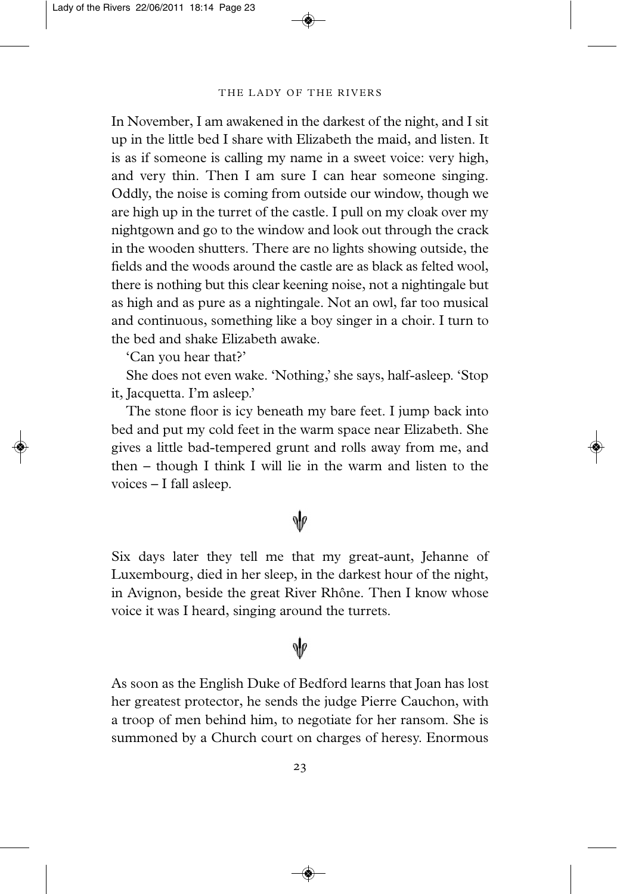In November, I am awakened in the darkest of the night, and I sit up in the little bed I share with Elizabeth the maid, and listen. It is as if someone is calling my name in a sweet voice: very high, and very thin. Then I am sure I can hear someone singing. Oddly, the noise is coming from outside our window, though we are high up in the turret of the castle. I pull on my cloak over my nightgown and go to the window and look out through the crack in the wooden shutters. There are no lights showing outside, the fields and the woods around the castle are as black as felted wool, there is nothing but this clear keening noise, not a nightingale but as high and as pure as a nightingale. Not an owl, far too musical and continuous, something like a boy singer in a choir. I turn to the bed and shake Elizabeth awake.

'Can you hear that?'

She does not even wake. 'Nothing,' she says, half-asleep. 'Stop it, Jacquetta. I'm asleep.'

The stone floor is icy beneath my bare feet. I jump back into bed and put my cold feet in the warm space near Elizabeth. She gives a little bad-tempered grunt and rolls away from me, and then – though I think I will lie in the warm and listen to the voices – I fall asleep.

# N

Six days later they tell me that my great-aunt, Jehanne of Luxembourg, died in her sleep, in the darkest hour of the night, in Avignon, beside the great River Rhône. Then I know whose voice it was I heard, singing around the turrets.

As soon as the English Duke of Bedford learns that Joan has lost her greatest protector, he sends the judge Pierre Cauchon, with a troop of men behind him, to negotiate for her ransom. She is summoned by a Church court on charges of heresy. Enormous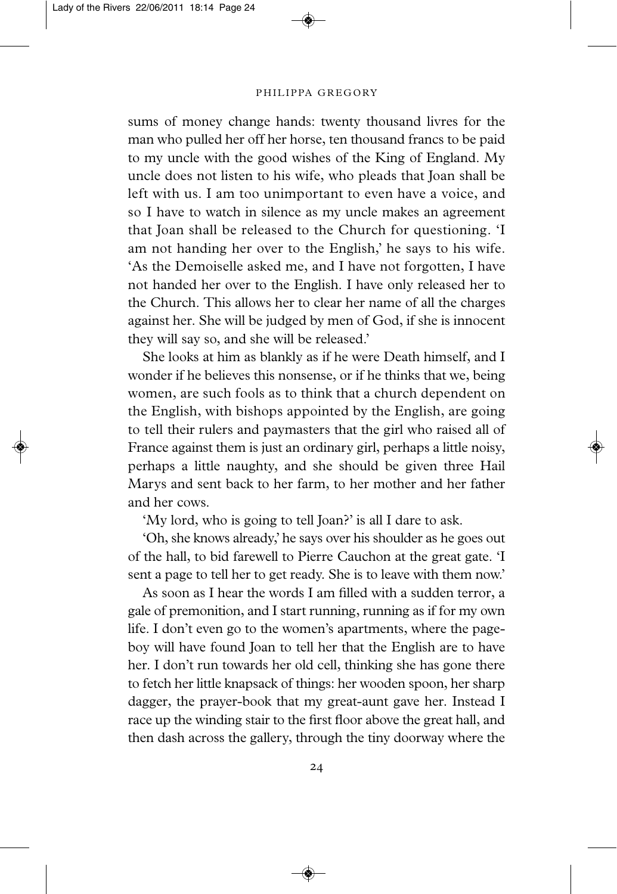sums of money change hands: twenty thousand livres for the man who pulled her off her horse, ten thousand francs to be paid to my uncle with the good wishes of the King of England. My uncle does not listen to his wife, who pleads that Joan shall be left with us. I am too unimportant to even have a voice, and so I have to watch in silence as my uncle makes an agreement that Joan shall be released to the Church for questioning. 'I am not handing her over to the English,' he says to his wife. 'As the Demoiselle asked me, and I have not forgotten, I have not handed her over to the English. I have only released her to the Church. This allows her to clear her name of all the charges against her. She will be judged by men of God, if she is innocent they will say so, and she will be released.'

She looks at him as blankly as if he were Death himself, and I wonder if he believes this nonsense, or if he thinks that we, being women, are such fools as to think that a church dependent on the English, with bishops appointed by the English, are going to tell their rulers and paymasters that the girl who raised all of France against them is just an ordinary girl, perhaps a little noisy, perhaps a little naughty, and she should be given three Hail Marys and sent back to her farm, to her mother and her father and her cows.

'My lord, who is going to tell Joan?' is all I dare to ask.

'Oh, she knows already,' he says over his shoulder as he goes out of the hall, to bid farewell to Pierre Cauchon at the great gate. 'I sent a page to tell her to get ready. She is to leave with them now.'

As soon as I hear the words I am filled with a sudden terror, a gale of premonition, and I start running, running as if for my own life. I don't even go to the women's apartments, where the pageboy will have found Joan to tell her that the English are to have her. I don't run towards her old cell, thinking she has gone there to fetch her little knapsack of things: her wooden spoon, her sharp dagger, the prayer-book that my great-aunt gave her. Instead I race up the winding stair to the first floor above the great hall, and then dash across the gallery, through the tiny doorway where the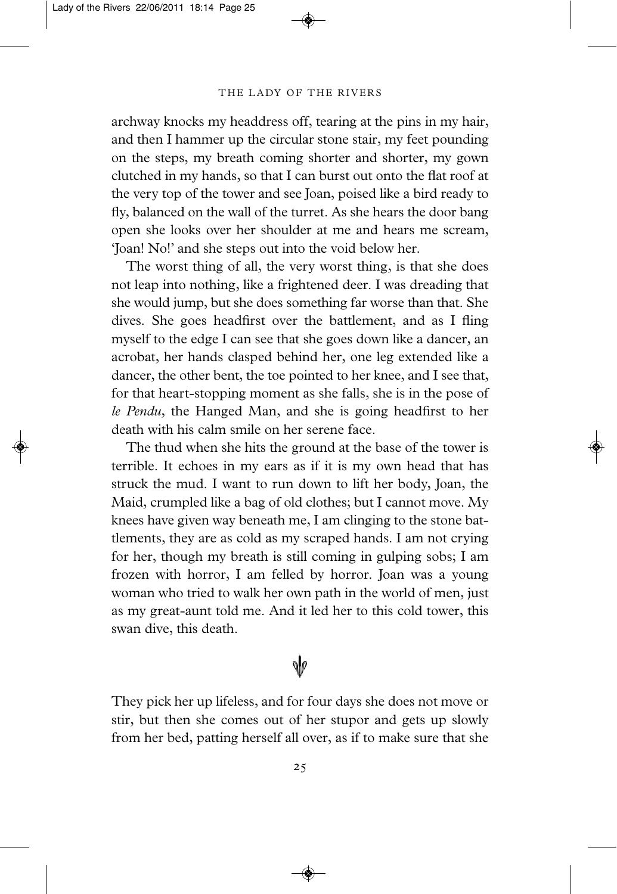archway knocks my headdress off, tearing at the pins in my hair, and then I hammer up the circular stone stair, my feet pounding on the steps, my breath coming shorter and shorter, my gown clutched in my hands, so that I can burst out onto the flat roof at the very top of the tower and see Joan, poised like a bird ready to fly, balanced on the wall of the turret. As she hears the door bang open she looks over her shoulder at me and hears me scream, 'Joan! No!' and she steps out into the void below her.

The worst thing of all, the very worst thing, is that she does not leap into nothing, like a frightened deer. I was dreading that she would jump, but she does something far worse than that. She dives. She goes headfirst over the battlement, and as I fling myself to the edge I can see that she goes down like a dancer, an acrobat, her hands clasped behind her, one leg extended like a dancer, the other bent, the toe pointed to her knee, and I see that, for that heart-stopping moment as she falls, she is in the pose of *le Pendu*, the Hanged Man, and she is going headfirst to her death with his calm smile on her serene face.

The thud when she hits the ground at the base of the tower is terrible. It echoes in my ears as if it is my own head that has struck the mud. I want to run down to lift her body, Joan, the Maid, crumpled like a bag of old clothes; but I cannot move. My knees have given way beneath me, I am clinging to the stone battlements, they are as cold as my scraped hands. I am not crying for her, though my breath is still coming in gulping sobs; I am frozen with horror, I am felled by horror. Joan was a young woman who tried to walk her own path in the world of men, just as my great-aunt told me. And it led her to this cold tower, this swan dive, this death.

## N

They pick her up lifeless, and for four days she does not move or stir, but then she comes out of her stupor and gets up slowly from her bed, patting herself all over, as if to make sure that she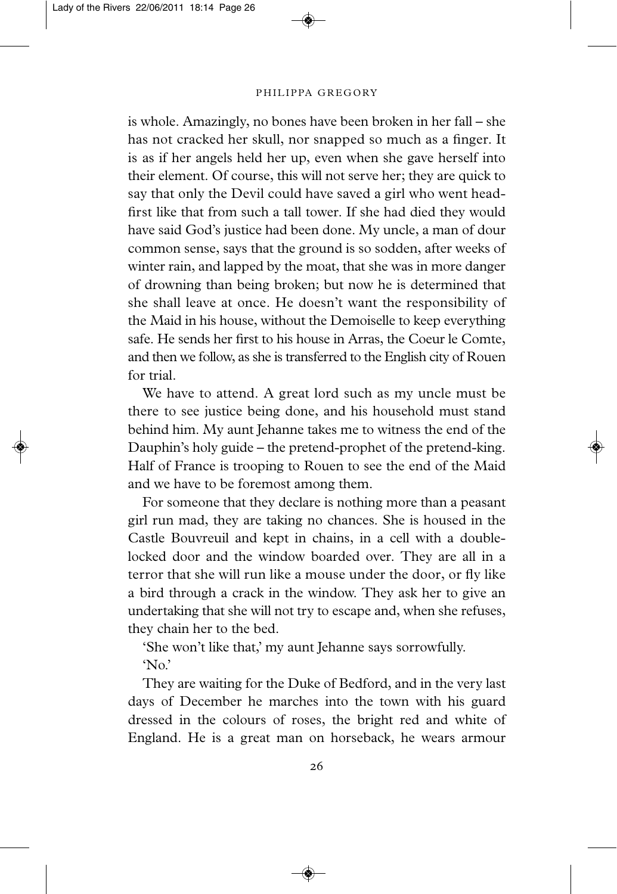is whole. Amazingly, no bones have been broken in her fall – she has not cracked her skull, nor snapped so much as a finger. It is as if her angels held her up, even when she gave herself into their element. Of course, this will not serve her; they are quick to say that only the Devil could have saved a girl who went headfirst like that from such a tall tower. If she had died they would have said God's justice had been done. My uncle, a man of dour common sense, says that the ground is so sodden, after weeks of winter rain, and lapped by the moat, that she was in more danger of drowning than being broken; but now he is determined that she shall leave at once. He doesn't want the responsibility of the Maid in his house, without the Demoiselle to keep everything safe. He sends her first to his house in Arras, the Coeur le Comte, and then we follow, as she is transferred to the English city of Rouen for trial.

We have to attend. A great lord such as my uncle must be there to see justice being done, and his household must stand behind him. My aunt Jehanne takes me to witness the end of the Dauphin's holy guide – the pretend-prophet of the pretend-king. Half of France is trooping to Rouen to see the end of the Maid and we have to be foremost among them.

For someone that they declare is nothing more than a peasant girl run mad, they are taking no chances. She is housed in the Castle Bouvreuil and kept in chains, in a cell with a doublelocked door and the window boarded over. They are all in a terror that she will run like a mouse under the door, or fly like a bird through a crack in the window. They ask her to give an undertaking that she will not try to escape and, when she refuses, they chain her to the bed.

'She won't like that,' my aunt Jehanne says sorrowfully. 'No.'

They are waiting for the Duke of Bedford, and in the very last days of December he marches into the town with his guard dressed in the colours of roses, the bright red and white of England. He is a great man on horseback, he wears armour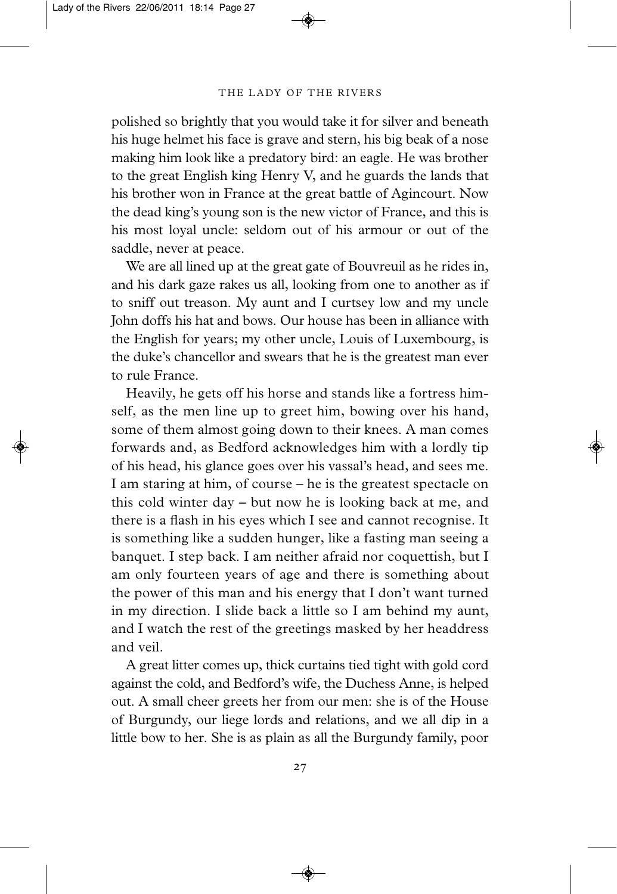polished so brightly that you would take it for silver and beneath his huge helmet his face is grave and stern, his big beak of a nose making him look like a predatory bird: an eagle. He was brother to the great English king Henry V, and he guards the lands that his brother won in France at the great battle of Agincourt. Now the dead king's young son is the new victor of France, and this is his most loyal uncle: seldom out of his armour or out of the saddle, never at peace.

We are all lined up at the great gate of Bouvreuil as he rides in, and his dark gaze rakes us all, looking from one to another as if to sniff out treason. My aunt and I curtsey low and my uncle John doffs his hat and bows. Our house has been in alliance with the English for years; my other uncle, Louis of Luxembourg, is the duke's chancellor and swears that he is the greatest man ever to rule France.

Heavily, he gets off his horse and stands like a fortress himself, as the men line up to greet him, bowing over his hand, some of them almost going down to their knees. A man comes forwards and, as Bedford acknowledges him with a lordly tip of his head, his glance goes over his vassal's head, and sees me. I am staring at him, of course – he is the greatest spectacle on this cold winter day – but now he is looking back at me, and there is a flash in his eyes which I see and cannot recognise. It is something like a sudden hunger, like a fasting man seeing a banquet. I step back. I am neither afraid nor coquettish, but I am only fourteen years of age and there is something about the power of this man and his energy that I don't want turned in my direction. I slide back a little so I am behind my aunt, and I watch the rest of the greetings masked by her headdress and veil.

A great litter comes up, thick curtains tied tight with gold cord against the cold, and Bedford's wife, the Duchess Anne, is helped out. A small cheer greets her from our men: she is of the House of Burgundy, our liege lords and relations, and we all dip in a little bow to her. She is as plain as all the Burgundy family, poor